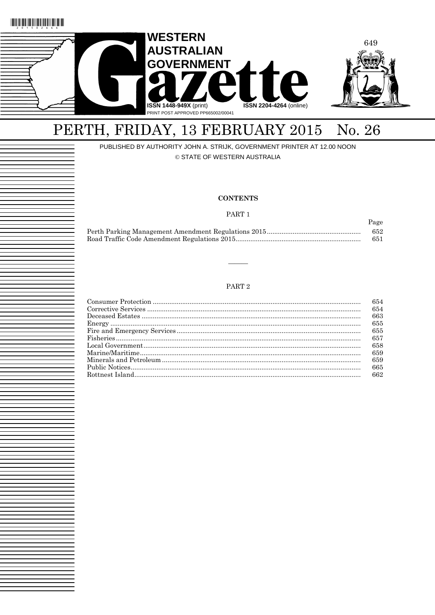

# PERTH, FRIDAY, 13 FEBRUARY 2015 No. 26

PUBLISHED BY AUTHORITY JOHN A. STRIJK, GOVERNMENT PRINTER AT 12.00 NOON

© STATE OF WESTERN AUSTRALIA

#### **CONTENTS**

PART 1

Page

|  | 652 |
|--|-----|
|  | 651 |

#### PART $2\,$

|             | 654  |
|-------------|------|
|             | 654  |
|             | 663  |
|             | 655  |
|             | 655  |
| $Fisheries$ | 657  |
|             | 658  |
|             | 659  |
|             | 659  |
|             | 665  |
|             | -662 |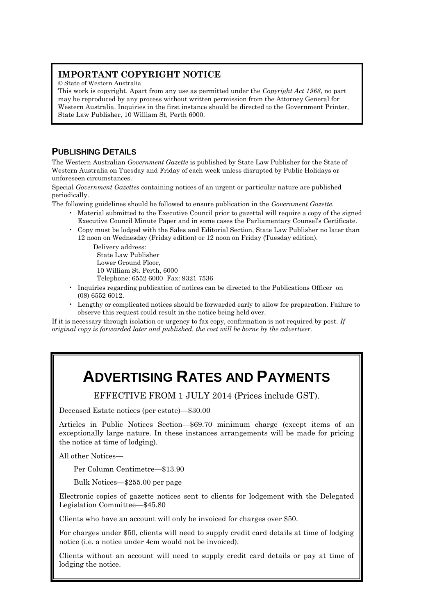# **IMPORTANT COPYRIGHT NOTICE**

© State of Western Australia

This work is copyright. Apart from any use as permitted under the *Copyright Act 1968*, no part may be reproduced by any process without written permission from the Attorney General for Western Australia. Inquiries in the first instance should be directed to the Government Printer, State Law Publisher, 10 William St, Perth 6000.

# **PUBLISHING DETAILS**

The Western Australian *Government Gazette* is published by State Law Publisher for the State of Western Australia on Tuesday and Friday of each week unless disrupted by Public Holidays or unforeseen circumstances.

Special *Government Gazettes* containing notices of an urgent or particular nature are published periodically.

The following guidelines should be followed to ensure publication in the *Government Gazette*.

- Material submitted to the Executive Council prior to gazettal will require a copy of the signed Executive Council Minute Paper and in some cases the Parliamentary Counsel's Certificate.
- Copy must be lodged with the Sales and Editorial Section, State Law Publisher no later than 12 noon on Wednesday (Friday edition) or 12 noon on Friday (Tuesday edition).

Delivery address: State Law Publisher

Lower Ground Floor,

10 William St. Perth, 6000

Telephone: 6552 6000 Fax: 9321 7536

- Inquiries regarding publication of notices can be directed to the Publications Officer on (08) 6552 6012.
- Lengthy or complicated notices should be forwarded early to allow for preparation. Failure to observe this request could result in the notice being held over.

If it is necessary through isolation or urgency to fax copy, confirmation is not required by post. *If original copy is forwarded later and published, the cost will be borne by the advertiser.*

# **ADVERTISING RATES AND PAYMENTS**

EFFECTIVE FROM 1 JULY 2014 (Prices include GST).

Deceased Estate notices (per estate)—\$30.00

Articles in Public Notices Section—\$69.70 minimum charge (except items of an exceptionally large nature. In these instances arrangements will be made for pricing the notice at time of lodging).

All other Notices—

Per Column Centimetre—\$13.90

Bulk Notices—\$255.00 per page

Electronic copies of gazette notices sent to clients for lodgement with the Delegated Legislation Committee—\$45.80

Clients who have an account will only be invoiced for charges over \$50.

For charges under \$50, clients will need to supply credit card details at time of lodging notice (i.e. a notice under 4cm would not be invoiced).

Clients without an account will need to supply credit card details or pay at time of lodging the notice.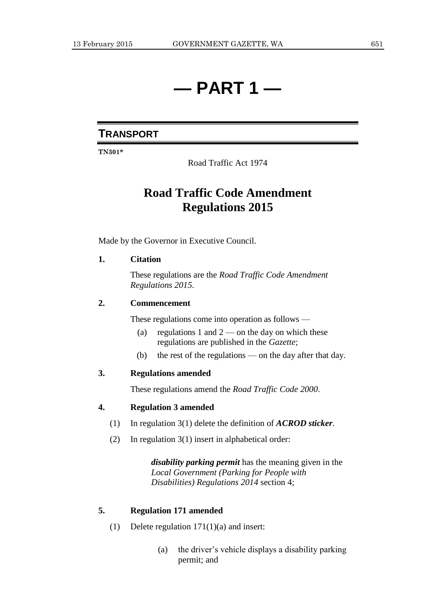# **— PART 1 —**

# **TRANSPORT**

**TN301\***

Road Traffic Act 1974

# **Road Traffic Code Amendment Regulations 2015**

Made by the Governor in Executive Council.

## **1. Citation**

These regulations are the *Road Traffic Code Amendment Regulations 2015*.

### **2. Commencement**

These regulations come into operation as follows —

- (a) regulations 1 and  $2$  on the day on which these regulations are published in the *Gazette*;
- (b) the rest of the regulations on the day after that day.

## **3. Regulations amended**

These regulations amend the *Road Traffic Code 2000*.

## **4. Regulation 3 amended**

- (1) In regulation 3(1) delete the definition of *ACROD sticker*.
- (2) In regulation 3(1) insert in alphabetical order:

*disability parking permit* has the meaning given in the *Local Government (Parking for People with Disabilities) Regulations 2014* section 4;

### **5. Regulation 171 amended**

- (1) Delete regulation 171(1)(a) and insert:
	- (a) the driver's vehicle displays a disability parking permit; and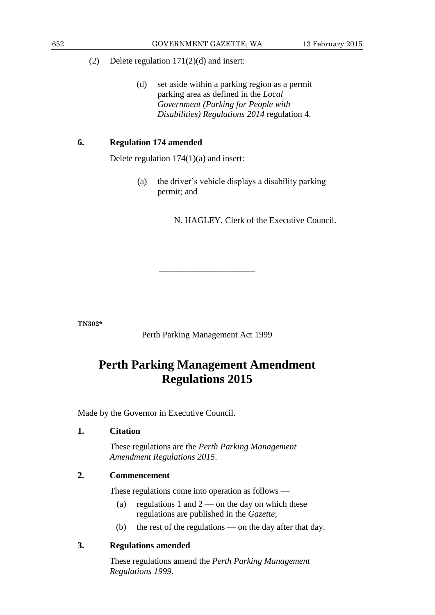- (2) Delete regulation 171(2)(d) and insert:
	- (d) set aside within a parking region as a permit parking area as defined in the *Local Government (Parking for People with Disabilities) Regulations 2014* regulation 4.

## **6. Regulation 174 amended**

Delete regulation 174(1)(a) and insert:

(a) the driver's vehicle displays a disability parking permit; and

N. HAGLEY, Clerk of the Executive Council.

**TN302\***

Perth Parking Management Act 1999

———————————

# **Perth Parking Management Amendment Regulations 2015**

Made by the Governor in Executive Council.

## **1. Citation**

These regulations are the *Perth Parking Management Amendment Regulations 2015*.

## **2. Commencement**

These regulations come into operation as follows —

- (a) regulations 1 and  $2$  on the day on which these regulations are published in the *Gazette*;
- (b) the rest of the regulations on the day after that day.

## **3. Regulations amended**

These regulations amend the *Perth Parking Management Regulations 1999*.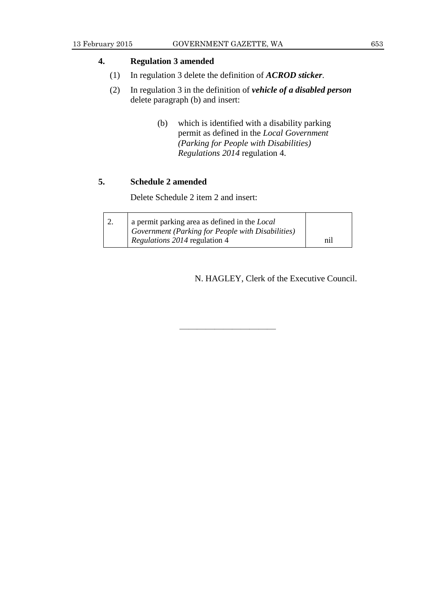## **4. Regulation 3 amended**

- (1) In regulation 3 delete the definition of *ACROD sticker*.
- (2) In regulation 3 in the definition of *vehicle of a disabled person* delete paragraph (b) and insert:
	- (b) which is identified with a disability parking permit as defined in the *Local Government (Parking for People with Disabilities) Regulations 2014* regulation 4.

## **5. Schedule 2 amended**

Delete Schedule 2 item 2 and insert:

| ∠. | a permit parking area as defined in the <i>Local</i> |     |
|----|------------------------------------------------------|-----|
|    | Government (Parking for People with Disabilities)    |     |
|    | <i>Regulations 2014</i> regulation 4                 | ni1 |

———————————

N. HAGLEY, Clerk of the Executive Council.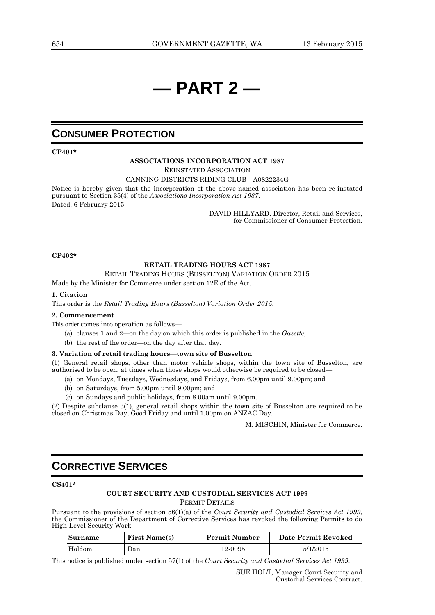# **— PART 2 —**

# **CONSUMER PROTECTION**

**CP401\***

#### **ASSOCIATIONS INCORPORATION ACT 1987**

REINSTATED ASSOCIATION

CANNING DISTRICTS RIDING CLUB—A0822234G

Notice is hereby given that the incorporation of the above-named association has been re-instated pursuant to Section 35(4) of the *Associations Incorporation Act 1987*. Dated: 6 February 2015.

> DAVID HILLYARD, Director, Retail and Services, for Commissioner of Consumer Protection.

#### **CP402\***

#### **RETAIL TRADING HOURS ACT 1987**

 $\frac{1}{\sqrt{2}}$  ,  $\frac{1}{\sqrt{2}}$  ,  $\frac{1}{\sqrt{2}}$  ,  $\frac{1}{\sqrt{2}}$  ,  $\frac{1}{\sqrt{2}}$  ,  $\frac{1}{\sqrt{2}}$  ,  $\frac{1}{\sqrt{2}}$  ,  $\frac{1}{\sqrt{2}}$  ,  $\frac{1}{\sqrt{2}}$  ,  $\frac{1}{\sqrt{2}}$  ,  $\frac{1}{\sqrt{2}}$  ,  $\frac{1}{\sqrt{2}}$  ,  $\frac{1}{\sqrt{2}}$  ,  $\frac{1}{\sqrt{2}}$  ,  $\frac{1}{\sqrt{2}}$ 

RETAIL TRADING HOURS (BUSSELTON) VARIATION ORDER 2015

Made by the Minister for Commerce under section 12E of the Act.

#### **1. Citation**

This order is the *Retail Trading Hours (Busselton) Variation Order 2015*.

#### **2. Commencement**

This order comes into operation as follows—

- (a) clauses 1 and 2—on the day on which this order is published in the *Gazette*;
- (b) the rest of the order—on the day after that day.

#### **3. Variation of retail trading hours—town site of Busselton**

(1) General retail shops, other than motor vehicle shops, within the town site of Busselton, are authorised to be open, at times when those shops would otherwise be required to be closed—

- (a) on Mondays, Tuesdays, Wednesdays, and Fridays, from 6.00pm until 9.00pm; and
- (b) on Saturdays, from 5.00pm until 9.00pm; and
- (c) on Sundays and public holidays, from 8.00am until 9.00pm.

(2) Despite subclause 3(1), general retail shops within the town site of Busselton are required to be closed on Christmas Day, Good Friday and until 1.00pm on ANZAC Day.

M. MISCHIN, Minister for Commerce.

# **CORRECTIVE SERVICES**

#### **CS401\***

### **COURT SECURITY AND CUSTODIAL SERVICES ACT 1999** PERMIT DETAILS

Pursuant to the provisions of section 56(1)(a) of the *Court Security and Custodial Services Act 1999*, the Commissioner of the Department of Corrective Services has revoked the following Permits to do High-Level Security Work—

| Surname | <b>First Name(s)</b> | <b>Permit Number</b> | Date Permit Revoked |
|---------|----------------------|----------------------|---------------------|
| Holdom  | Dan                  | 12-0095              | 5/1/2015            |

This notice is published under section 57(1) of the *Court Security and Custodial Services Act 1999*.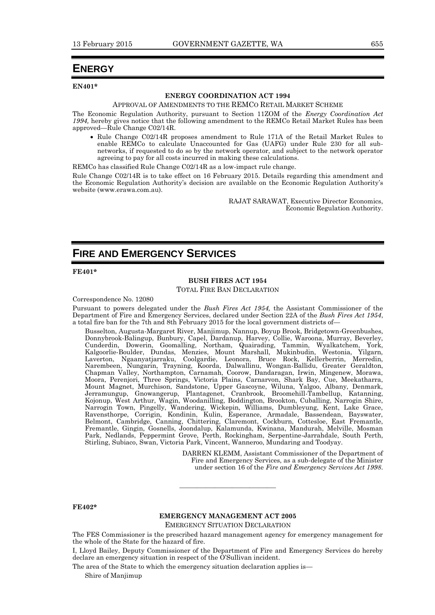## **ENERGY**

**EN401\***

#### **ENERGY COORDINATION ACT 1994**

#### APPROVAL OF AMENDMENTS TO THE REMCO RETAIL MARKET SCHEME

The Economic Regulation Authority, pursuant to Section 11ZOM of the *Energy Coordination Act*  1994, hereby gives notice that the following amendment to the REMCo Retail Market Rules has been approved—Rule Change C02/14R.

• Rule Change C02/14R proposes amendment to Rule 171A of the Retail Market Rules to enable REMCo to calculate Unaccounted for Gas (UAFG) under Rule 230 for all subnetworks, if requested to do so by the network operator, and subject to the network operator agreeing to pay for all costs incurred in making these calculations.

REMCo has classified Rule Change C02/14R as a low-impact rule change.

Rule Change C02/14R is to take effect on 16 February 2015. Details regarding this amendment and the Economic Regulation Authority's decision are available on the Economic Regulation Authority's website (www.erawa.com.au).

> RAJAT SARAWAT, Executive Director Economics, Economic Regulation Authority.

# **FIRE AND EMERGENCY SERVICES**

#### **FE401\***

#### **BUSH FIRES ACT 1954**

#### TOTAL FIRE BAN DECLARATION

#### Correspondence No. 12080

Pursuant to powers delegated under the *Bush Fires Act 1954,* the Assistant Commissioner of the Department of Fire and Emergency Services, declared under Section 22A of the *Bush Fires Act 1954*, a total fire ban for the 7th and 8th February 2015 for the local government districts of—

Busselton, Augusta-Margaret River, Manjimup, Nannup, Boyup Brook, Bridgetown-Greenbushes, Donnybrook-Balingup, Bunbury, Capel, Dardanup, Harvey, Collie, Waroona, Murray, Beverley, Cunderdin, Dowerin, Goomalling, Northam, Quairading, Tammin, Wyalkatchem, York, Kalgoorlie-Boulder, Dundas, Menzies, Mount Marshall, Mukinbudin, Westonia, Yilgarn, Laverton, Ngaanyatjarraku, Coolgardie, Leonora, Bruce Rock, Kellerberrin, Merredin, Narembeen, Nungarin, Trayning, Koorda, Dalwallinu, Wongan-Ballidu, Greater Geraldton, Chapman Valley, Northampton, Carnamah, Coorow, Dandaragan, Irwin, Mingenew, Morawa, Moora, Perenjori, Three Springs, Victoria Plains, Carnarvon, Shark Bay, Cue, Meekatharra, Mount Magnet, Murchison, Sandstone, Upper Gascoyne, Wiluna, Yalgoo, Albany, Denmark, Jerramungup, Gnowangerup, Plantagenet, Cranbrook, Broomehill-Tambellup, Katanning, Kojonup, West Arthur, Wagin, Woodanilling, Boddington, Brookton, Cuballing, Narrogin Shire, Narrogin Town, Pingelly, Wandering, Wickepin, Williams, Dumbleyung, Kent, Lake Grace, Ravensthorpe, Corrigin, Kondinin, Kulin, Esperance, Armadale, Bassendean, Bayswater, Belmont, Cambridge, Canning, Chittering, Claremont, Cockburn, Cottesloe, East Fremantle, Fremantle, Gingin, Gosnells, Joondalup, Kalamunda, Kwinana, Mandurah, Melville, Mosman Park, Nedlands, Peppermint Grove, Perth, Rockingham, Serpentine-Jarrahdale, South Perth, Stirling, Subiaco, Swan, Victoria Park, Vincent, Wanneroo, Mundaring and Toodyay.

> DARREN KLEMM, Assistant Commissioner of the Department of Fire and Emergency Services, as a sub-delegate of the Minister under section 16 of the *Fire and Emergency Services Act 1998*.

#### **FE402\***

#### **EMERGENCY MANAGEMENT ACT 2005**

———————————

EMERGENCY SITUATION DECLARATION

The FES Commissioner is the prescribed hazard management agency for emergency management for the whole of the State for the hazard of fire.

I, Lloyd Bailey, Deputy Commissioner of the Department of Fire and Emergency Services do hereby declare an emergency situation in respect of the O'Sullivan incident.

The area of the State to which the emergency situation declaration applies is—

Shire of Manjimup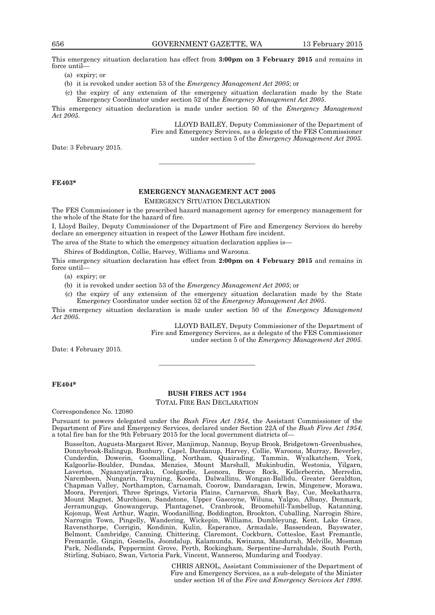This emergency situation declaration has effect from **3:00pm on 3 February 2015** and remains in force until—

- (a) expiry; or
- (b) it is revoked under section 53 of the *Emergency Management Act 2005*; or
- (c) the expiry of any extension of the emergency situation declaration made by the State Emergency Coordinator under section 52 of the *Emergency Management Act 2005*.

This emergency situation declaration is made under section 50 of the *Emergency Management Act 2005*.

> LLOYD BAILEY, Deputy Commissioner of the Department of Fire and Emergency Services, as a delegate of the FES Commissioner under section 5 of the *Emergency Management Act 2005*.

Date: 3 February 2015.

#### **FE403\***

### **EMERGENCY MANAGEMENT ACT 2005**

———————————

EMERGENCY SITUATION DECLARATION

The FES Commissioner is the prescribed hazard management agency for emergency management for the whole of the State for the hazard of fire.

I, Lloyd Bailey, Deputy Commissioner of the Department of Fire and Emergency Services do hereby declare an emergency situation in respect of the Lower Hotham fire incident.

The area of the State to which the emergency situation declaration applies is—

Shires of Boddington, Collie, Harvey, Williams and Waroona.

This emergency situation declaration has effect from **2:00pm on 4 February 2015** and remains in force until—

(a) expiry; or

(b) it is revoked under section 53 of the *Emergency Management Act 2005*; or

(c) the expiry of any extension of the emergency situation declaration made by the State Emergency Coordinator under section 52 of the *Emergency Management Act 2005*.

This emergency situation declaration is made under section 50 of the *Emergency Management Act 2005*.

> LLOYD BAILEY, Deputy Commissioner of the Department of Fire and Emergency Services, as a delegate of the FES Commissioner under section 5 of the *Emergency Management Act 2005*.

Date: 4 February 2015.

#### **FE404\***

#### **BUSH FIRES ACT 1954** TOTAL FIRE BAN DECLARATION

———————————

Correspondence No. 12080

Pursuant to powers delegated under the *Bush Fires Act 1954*, the Assistant Commissioner of the Department of Fire and Emergency Services, declared under Section 22A of the *Bush Fires Act 1954*, a total fire ban for the 9th February 2015 for the local government districts of—

Busselton, Augusta-Margaret River, Manjimup, Nannup, Boyup Brook, Bridgetown-Greenbushes, Donnybrook-Balingup, Bunbury, Capel, Dardanup, Harvey, Collie, Waroona, Murray, Beverley, Cunderdin, Dowerin, Goomalling, Northam, Quairading, Tammin, Wyalkatchem, York, Kalgoorlie-Boulder, Dundas, Menzies, Mount Marshall, Mukinbudin, Westonia, Yilgarn, Laverton, Ngaanyatjarraku, Coolgardie, Leonora, Bruce Rock, Kellerberrin, Merredin, Narembeen, Nungarin, Trayning, Koorda, Dalwallinu, Wongan-Ballidu, Greater Geraldton, Chapman Valley, Northampton, Carnamah, Coorow, Dandaragan, Irwin, Mingenew, Morawa, Moora, Perenjori, Three Springs, Victoria Plains, Carnarvon, Shark Bay, Cue, Meekatharra, Mount Magnet, Murchison, Sandstone, Upper Gascoyne, Wiluna, Yalgoo, Albany, Denmark, Jerramungup, Gnowangerup, Plantagenet, Cranbrook, Broomehill-Tambellup, Katanning, Kojonup, West Arthur, Wagin, Woodanilling, Boddington, Brookton, Cuballing, Narrogin Shire, Narrogin Town, Pingelly, Wandering, Wickepin, Williams, Dumbleyung, Kent, Lake Grace, Ravensthorpe, Corrigin, Kondinin, Kulin, Esperance, Armadale, Bassendean, Bayswater, Belmont, Cambridge, Canning, Chittering, Claremont, Cockburn, Cottesloe, East Fremantle, Fremantle, Gingin, Gosnells, Joondalup, Kalamunda, Kwinana, Mandurah, Melville, Mosman Park, Nedlands, Peppermint Grove, Perth, Rockingham, Serpentine-Jarrahdale, South Perth, Stirling, Subiaco, Swan, Victoria Park, Vincent, Wanneroo, Mundaring and Toodyay.

> CHRIS ARNOL, Assistant Commissioner of the Department of Fire and Emergency Services, as a sub-delegate of the Minister under section 16 of the *Fire and Emergency Services Act 1998*.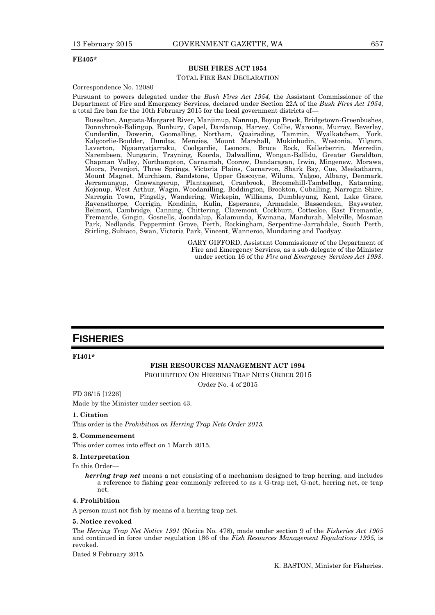#### **FE405\***

#### **BUSH FIRES ACT 1954** TOTAL FIRE BAN DECLARATION

#### Correspondence No. 12080

Pursuant to powers delegated under the *Bush Fires Act 1954,* the Assistant Commissioner of the Department of Fire and Emergency Services, declared under Section 22A of the *Bush Fires Act 1954*, a total fire ban for the 10th February 2015 for the local government districts of—

Busselton, Augusta-Margaret River, Manjimup, Nannup, Boyup Brook, Bridgetown-Greenbushes, Donnybrook-Balingup, Bunbury, Capel, Dardanup, Harvey, Collie, Waroona, Murray, Beverley, Cunderdin, Dowerin, Goomalling, Northam, Quairading, Tammin, Wyalkatchem, York, Kalgoorlie-Boulder, Dundas, Menzies, Mount Marshall, Mukinbudin, Westonia, Yilgarn, Laverton, Ngaanyatjarraku, Coolgardie, Leonora, Bruce Rock, Kellerberrin, Merredin, Narembeen, Nungarin, Trayning, Koorda, Dalwallinu, Wongan-Ballidu, Greater Geraldton, Chapman Valley, Northampton, Carnamah, Coorow, Dandaragan, Irwin, Mingenew, Morawa, Moora, Perenjori, Three Springs, Victoria Plains, Carnarvon, Shark Bay, Cue, Meekatharra, Mount Magnet, Murchison, Sandstone, Upper Gascoyne, Wiluna, Yalgoo, Albany, Denmark, Jerramungup, Gnowangerup, Plantagenet, Cranbrook, Broomehill-Tambellup, Katanning, Kojonup, West Arthur, Wagin, Woodanilling, Boddington, Brookton, Cuballing, Narrogin Shire, Narrogin Town, Pingelly, Wandering, Wickepin, Williams, Dumbleyung, Kent, Lake Grace, Ravensthorpe, Corrigin, Kondinin, Kulin, Esperance, Armadale, Bassendean, Bayswater, Belmont, Cambridge, Canning, Chittering, Claremont, Cockburn, Cottesloe, East Fremantle, Fremantle, Gingin, Gosnells, Joondalup, Kalamunda, Kwinana, Mandurah, Melville, Mosman Park, Nedlands, Peppermint Grove, Perth, Rockingham, Serpentine-Jarrahdale, South Perth, Stirling, Subiaco, Swan, Victoria Park, Vincent, Wanneroo, Mundaring and Toodyay.

> GARY GIFFORD, Assistant Commissioner of the Department of Fire and Emergency Services, as a sub-delegate of the Minister under section 16 of the *Fire and Emergency Services Act 1998*.

# **FISHERIES**

**FI401\***

#### **FISH RESOURCES MANAGEMENT ACT 1994**

PROHIBITION ON HERRING TRAP NETS ORDER 2015

Order No. 4 of 2015

FD 36/15 [1226]

Made by the Minister under section 43.

#### **1. Citation**

This order is the *Prohibition on Herring Trap Nets Order 2015.*

#### **2. Commencement**

This order comes into effect on 1 March 2015.

#### **3. Interpretation**

In this Order-

*herring trap net* means a net consisting of a mechanism designed to trap herring, and includes a reference to fishing gear commonly referred to as a G-trap net, G-net, herring net, or trap net.

#### **4. Prohibition**

A person must not fish by means of a herring trap net.

#### **5. Notice revoked**

The *Herring Trap Net Notice 1991* (Notice No. 478), made under section 9 of the *Fisheries Act 1905* and continued in force under regulation 186 of the *Fish Resources Management Regulations 1995*, is revoked.

Dated 9 February 2015.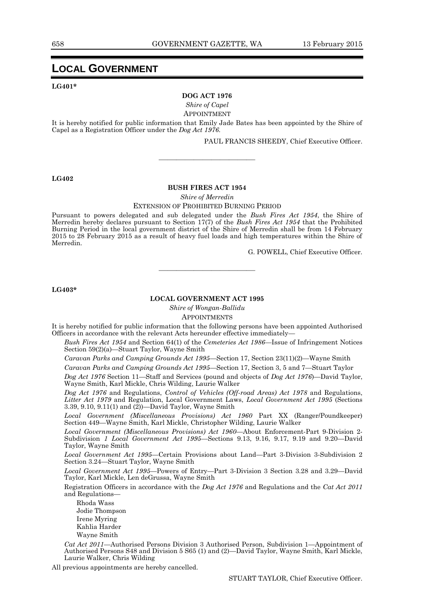## **LOCAL GOVERNMENT**

#### **LG401\***

#### **DOG ACT 1976**

*Shire of Capel*

APPOINTMENT

It is hereby notified for public information that Emily Jade Bates has been appointed by the Shire of Capel as a Registration Officer under the *Dog Act 1976.*

———————————

PAUL FRANCIS SHEEDY, Chief Executive Officer.

#### **LG402**

#### **BUSH FIRES ACT 1954**

*Shire of Merredin*

EXTENSION OF PROHIBITED BURNING PERIOD

Pursuant to powers delegated and sub delegated under the *Bush Fires Act 1954*, the Shire of Merredin hereby declares pursuant to Section 17(7) of the *Bush Fires Act 1954* that the Prohibited Burning Period in the local government district of the Shire of Merredin shall be from 14 February 2015 to 28 February 2015 as a result of heavy fuel loads and high temperatures within the Shire of Merredin.

G. POWELL, Chief Executive Officer.

**LG403\***

#### **LOCAL GOVERNMENT ACT 1995**

———————————

*Shire of Wongan-Ballidu* APPOINTMENTS

It is hereby notified for public information that the following persons have been appointed Authorised Officers in accordance with the relevant Acts hereunder effective immediately—

*Bush Fires Act 1954* and Section 64(1) of the *Cemeteries Act 1986*—Issue of Infringement Notices Section 59(2)(a)—Stuart Taylor, Wayne Smith

*Caravan Parks and Camping Grounds Act 1995*—Section 17, Section 23(11)(2)—Wayne Smith

*Caravan Parks and Camping Grounds Act 1995*—Section 17, Section 3, 5 and 7—Stuart Taylor

*Dog Act 1976* Section 11—Staff and Services (pound and objects of *Dog Act 1976*)—David Taylor, Wayne Smith, Karl Mickle, Chris Wilding, Laurie Walker

*Dog Act 1976* and Regulations, *Control of Vehicles (Off-road Areas) Act 1978* and Regulations, *Litter Act 1979* and Regulation, Local Government Laws, *Local Government Act 1995* (Sections 3.39, 9.10, 9.11(1) and (2))—David Taylor, Wayne Smith

*Local Government (Miscellaneous Provisions) Act 1960* Part XX (Ranger/Poundkeeper) Section 449—Wayne Smith, Karl Mickle, Christopher Wilding, Laurie Walker

*Local Government (Miscellaneous Provisions) Act 1960*—About Enforcement-Part 9-Division 2- Subdivision *1 Local Government Act 1995*—Sections 9.13, 9.16, 9.17, 9.19 and 9.20—David Taylor, Wayne Smith

*Local Government Act 1995*—Certain Provisions about Land—Part 3-Division 3-Subdivision 2 Section 3.24—Stuart Taylor, Wayne Smith

*Local Government Act 1995*—Powers of Entry—Part 3-Division 3 Section 3.28 and 3.29—David Taylor, Karl Mickle, Len deGrussa, Wayne Smith

Registration Officers in accordance with the *Dog Act 1976* and Regulations and the *Cat Act 2011* and Regulations—

Rhoda Wass Jodie Thompson Irene Myring Kahlia Harder Wayne Smith

*Cat Act 2011—*Authorised Persons Division 3 Authorised Person, Subdivision 1—Appointment of Authorised Persons S48 and Division 5 S65 (1) and (2)—David Taylor, Wayne Smith, Karl Mickle, Laurie Walker, Chris Wilding

All previous appointments are hereby cancelled.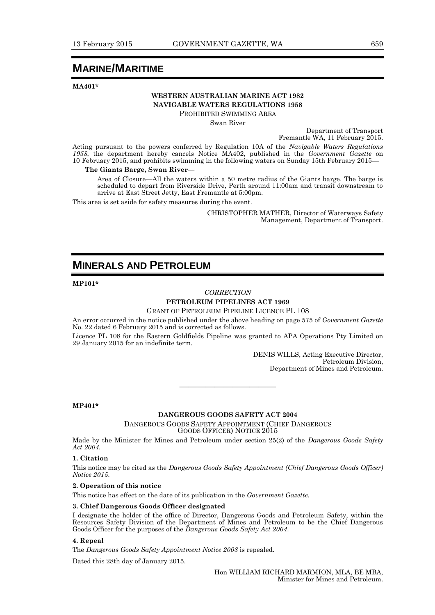# **MARINE/MARITIME**

**MA401\***

# **WESTERN AUSTRALIAN MARINE ACT 1982 NAVIGABLE WATERS REGULATIONS 1958**

PROHIBITED SWIMMING AREA

Swan River

Department of Transport Fremantle WA, 11 February 2015.

Acting pursuant to the powers conferred by Regulation 10A of the *Navigable Waters Regulations 1958*, the department hereby cancels Notice MA402, published in the *Government Gazette* on 10 February 2015, and prohibits swimming in the following waters on Sunday 15th February 2015—

#### **The Giants Barge, Swan River—**

Area of Closure—All the waters within a 50 metre radius of the Giants barge. The barge is scheduled to depart from Riverside Drive, Perth around 11:00am and transit downstream to arrive at East Street Jetty, East Fremantle at 5:00pm.

This area is set aside for safety measures during the event.

CHRISTOPHER MATHER, Director of Waterways Safety Management, Department of Transport.

# **MINERALS AND PETROLEUM**

#### **MP101\***

#### *CORRECTION*

### **PETROLEUM PIPELINES ACT 1969**

GRANT OF PETROLEUM PIPELINE LICENCE PL 108

An error occurred in the notice published under the above heading on page 575 of *Government Gazette* No. 22 dated 6 February 2015 and is corrected as follows.

Licence PL 108 for the Eastern Goldfields Pipeline was granted to APA Operations Pty Limited on 29 January 2015 for an indefinite term.

> DENIS WILLS, Acting Executive Director, Petroleum Division, Department of Mines and Petroleum.

**MP401\***

#### **DANGEROUS GOODS SAFETY ACT 2004**

———————————

DANGEROUS GOODS SAFETY APPOINTMENT (CHIEF DANGEROUS GOODS OFFICER) NOTICE 2015

Made by the Minister for Mines and Petroleum under section 25(2) of the *Dangerous Goods Safety Act 2004*.

#### **1. Citation**

This notice may be cited as the *Dangerous Goods Safety Appointment (Chief Dangerous Goods Officer) Notice 2015*.

#### **2. Operation of this notice**

This notice has effect on the date of its publication in the *Government Gazette*.

#### **3. Chief Dangerous Goods Officer designated**

I designate the holder of the office of Director, Dangerous Goods and Petroleum Safety, within the Resources Safety Division of the Department of Mines and Petroleum to be the Chief Dangerous Goods Officer for the purposes of the *Dangerous Goods Safety Act 2004*.

#### **4. Repeal**

The *Dangerous Goods Safety Appointment Notice 2008* is repealed.

Dated this 28th day of January 2015.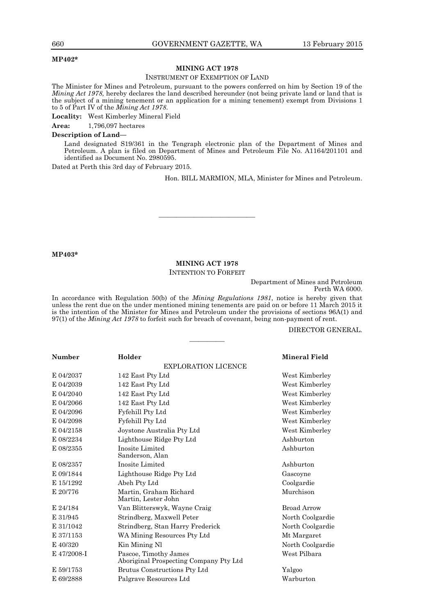#### **MP402\***

#### **MINING ACT 1978**

#### INSTRUMENT OF EXEMPTION OF LAND

The Minister for Mines and Petroleum, pursuant to the powers conferred on him by Section 19 of the *Mining Act 1978,* hereby declares the land described hereunder (not being private land or land that is the subject of a mining tenement or an application for a mining tenement) exempt from Divisions 1 to 5 of Part IV of the *Mining Act 1978*.

**Locality:** West Kimberley Mineral Field

**Area:** 1,796,097 hectares

#### **Description of Land—**

Land designated S19/361 in the Tengraph electronic plan of the Department of Mines and Petroleum. A plan is filed on Department of Mines and Petroleum File No. A1164/201101 and identified as Document No. 2980595.

Dated at Perth this 3rd day of February 2015.

Hon. BILL MARMION, MLA, Minister for Mines and Petroleum.

#### **MP403\***

#### **MINING ACT 1978**

 $\frac{1}{\sqrt{2}}$  ,  $\frac{1}{\sqrt{2}}$  ,  $\frac{1}{\sqrt{2}}$  ,  $\frac{1}{\sqrt{2}}$  ,  $\frac{1}{\sqrt{2}}$  ,  $\frac{1}{\sqrt{2}}$  ,  $\frac{1}{\sqrt{2}}$  ,  $\frac{1}{\sqrt{2}}$  ,  $\frac{1}{\sqrt{2}}$  ,  $\frac{1}{\sqrt{2}}$  ,  $\frac{1}{\sqrt{2}}$  ,  $\frac{1}{\sqrt{2}}$  ,  $\frac{1}{\sqrt{2}}$  ,  $\frac{1}{\sqrt{2}}$  ,  $\frac{1}{\sqrt{2}}$ 

INTENTION TO FORFEIT

Department of Mines and Petroleum Perth WA 6000.

In accordance with Regulation 50(b) of the *Mining Regulations 1981*, notice is hereby given that unless the rent due on the under mentioned mining tenements are paid on or before 11 March 2015 it is the intention of the Minister for Mines and Petroleum under the provisions of sections 96A(1) and 97(1) of the *Mining Act 1978* to forfeit such for breach of covenant, being non-payment of rent.

————

#### DIRECTOR GENERAL.

| <b>Number</b><br>Holder    |                                                                 | Mineral Field    |  |
|----------------------------|-----------------------------------------------------------------|------------------|--|
| <b>EXPLORATION LICENCE</b> |                                                                 |                  |  |
| E 04/2037                  | 142 East Pty Ltd                                                | West Kimberley   |  |
| E 04/2039                  | 142 East Pty Ltd                                                | West Kimberley   |  |
| E 04/2040                  | 142 East Pty Ltd                                                | West Kimberley   |  |
| E 04/2066                  | 142 East Pty Ltd                                                | West Kimberley   |  |
| E 04/2096                  | Fyfehill Pty Ltd                                                | West Kimberley   |  |
| E 04/2098                  | Fyfehill Pty Ltd                                                | West Kimberley   |  |
| E 04/2158                  | Joystone Australia Pty Ltd                                      | West Kimberley   |  |
| E 08/2234                  | Lighthouse Ridge Pty Ltd                                        | Ashburton        |  |
| E 08/2355                  | Inosite Limited<br>Sanderson, Alan                              | Ashburton        |  |
| E 08/2357                  | Inosite Limited                                                 | Ashburton        |  |
| E 09/1844                  | Lighthouse Ridge Pty Ltd                                        | Gascoyne         |  |
| E 15/1292                  | Abeh Pty Ltd                                                    | Coolgardie       |  |
| E 20/776                   | Martin, Graham Richard<br>Martin, Lester John                   | Murchison        |  |
| E 24/184                   | Van Blitterswyk, Wayne Craig                                    | Broad Arrow      |  |
| E 31/945                   | Strindberg, Maxwell Peter                                       | North Coolgardie |  |
| E 31/1042                  | Strindberg, Stan Harry Frederick                                | North Coolgardie |  |
| E 37/1153                  | WA Mining Resources Pty Ltd                                     | Mt Margaret      |  |
| E 40/320                   | Kin Mining Nl                                                   | North Coolgardie |  |
| E 47/2008-I                | Pascoe, Timothy James<br>Aboriginal Prospecting Company Pty Ltd | West Pilbara     |  |
| E 59/1753                  | Brutus Constructions Pty Ltd                                    | Yalgoo           |  |
| E 69/2888                  | Palgrave Resources Ltd                                          | Warburton        |  |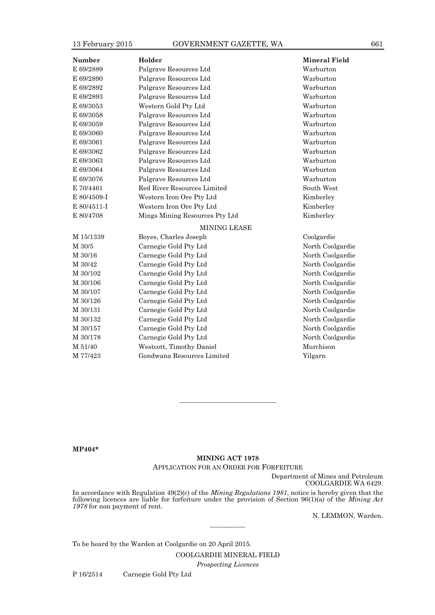| <b>Number</b>                               | Holder                      | <b>Mineral Field</b> |
|---------------------------------------------|-----------------------------|----------------------|
| E 69/2889                                   | Palgrave Resources Ltd      | Warburton            |
| E 69/2890                                   | Palgrave Resources Ltd      | Warburton            |
| E 69/2892                                   | Palgrave Resources Ltd      | Warburton            |
| E 69/2893                                   | Palgrave Resources Ltd      | Warburton            |
| E 69/3053                                   | Western Gold Pty Ltd        | Warburton            |
| E 69/3058                                   | Palgrave Resources Ltd      | Warburton            |
| E 69/3059                                   | Palgrave Resources Ltd      | Warburton            |
| E 69/3060                                   | Palgrave Resources Ltd      | Warburton            |
| E 69/3061                                   | Palgrave Resources Ltd      | Warburton            |
| E 69/3062                                   | Palgrave Resources Ltd      | Warburton            |
| E 69/3063                                   | Palgrave Resources Ltd      | Warburton            |
| E 69/3064                                   | Palgrave Resources Ltd      | Warburton            |
| E 69/3076                                   | Palgrave Resources Ltd      | Warburton            |
| E 70/4461                                   | Red River Resources Limited | South West           |
| E 80/4509-I                                 | Western Iron Ore Pty Ltd    | Kimberley            |
| E 80/4511-I                                 | Western Iron Ore Pty Ltd    | Kimberley            |
| E 80/4708<br>Mings Mining Resources Pty Ltd |                             | Kimberley            |
|                                             | <b>MINING LEASE</b>         |                      |
| M 15/1339                                   | Boyes, Charles Joseph       | Coolgardie           |
| M 30/5                                      | Carnegie Gold Pty Ltd       | North Coolgardie     |
| M 30/16                                     | Carnegie Gold Pty Ltd       | North Coolgardie     |
| M 30/42                                     | Carnegie Gold Pty Ltd       | North Coolgardie     |
| M 30/102                                    | Carnegie Gold Pty Ltd       | North Coolgardie     |
| M 30/106                                    | Carnegie Gold Pty Ltd       | North Coolgardie     |
| M 30/107                                    | Carnegie Gold Pty Ltd       | North Coolgardie     |
| M 30/126                                    | Carnegie Gold Pty Ltd       | North Coolgardie     |
| M 30/131                                    | Carnegie Gold Pty Ltd       | North Coolgardie     |
| M 30/132                                    | Carnegie Gold Pty Ltd       | North Coolgardie     |
| M 30/157                                    | Carnegie Gold Pty Ltd       | North Coolgardie     |
| M 30/178                                    | Carnegie Gold Pty Ltd       | North Coolgardie     |
| M 51/40                                     | Westcott, Timothy Daniel    | Murchison            |
| M 77/423                                    | Gondwana Resources Limited  | Yilgarn              |

**MP404\***

#### **MINING ACT 1978**

———————————

APPLICATION FOR AN ORDER FOR FORFEITURE

Department of Mines and Petroleum COOLGARDIE WA 6429.

In accordance with Regulation 49(2)(c) of the *Mining Regulations 1981*, notice is hereby given that the following licences are liable for forfeiture under the provision of Section 96(1)(a) of the *Mining Act 1978* for non payment of rent.

————

N. LEMMON, Warden.

To be heard by the Warden at Coolgardie on 20 April 2015.

COOLGARDIE MINERAL FIELD

*Prospecting Licences*

P 16/2514 Carnegie Gold Pty Ltd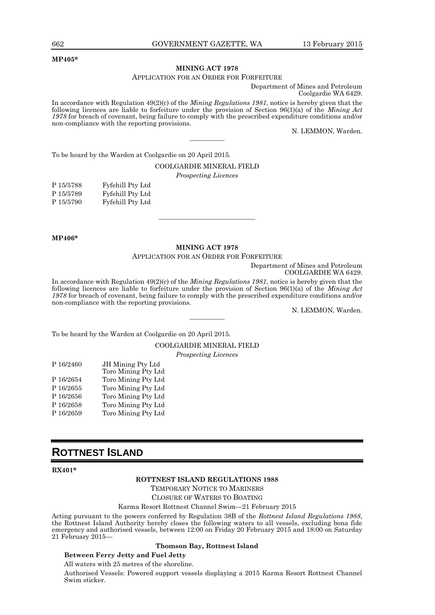#### **MP405\***

#### **MINING ACT 1978**

#### APPLICATION FOR AN ORDER FOR FORFEITURE

Department of Mines and Petroleum Coolgardie WA 6429.

In accordance with Regulation 49(2)(c) of the *Mining Regulations 1981*, notice is hereby given that the following licences are liable to forfeiture under the provision of Section 96(1)(a) of the *Mining Act 1978* for breach of covenant, being failure to comply with the prescribed expenditure conditions and/or non-compliance with the reporting provisions.

————

N. LEMMON, Warden.

To be heard by the Warden at Coolgardie on 20 April 2015.

#### COOLGARDIE MINERAL FIELD

*Prospecting Licences*

| P 15/5788 | Fyfehill Pty Ltd |
|-----------|------------------|
| P 15/5789 | Fyfehill Pty Ltd |
| P 15/5790 | Fyfehill Pty Ltd |

#### **MP406\***

#### **MINING ACT 1978**

———————————

APPLICATION FOR AN ORDER FOR FORFEITURE

Department of Mines and Petroleum COOLGARDIE WA 6429.

In accordance with Regulation 49(2)(c) of the *Mining Regulations 1981*, notice is hereby given that the following licences are liable to forfeiture under the provision of Section 96(1)(a) of the *Mining Act 1978* for breach of covenant, being failure to comply with the prescribed expenditure conditions and/or non-compliance with the reporting provisions.

————

N. LEMMON, Warden.

To be heard by the Warden at Coolgardie on 20 April 2015.

COOLGARDIE MINERAL FIELD

*Prospecting Licences*

| P 16/2460 | JH Mining Pty Ltd   |
|-----------|---------------------|
|           | Toro Mining Pty Ltd |
| P 16/2654 | Toro Mining Pty Ltd |
| P 16/2655 | Toro Mining Pty Ltd |
| P 16/2656 | Toro Mining Pty Ltd |
| P 16/2658 | Toro Mining Pty Ltd |

- 
- P 16/2659 Toro Mining Pty Ltd

# **ROTTNEST ISLAND**

#### **RX401\***

#### **ROTTNEST ISLAND REGULATIONS 1988**

TEMPORARY NOTICE TO MARINERS CLOSURE OF WATERS TO BOATING

Karma Resort Rottnest Channel Swim—21 February 2015

Acting pursuant to the powers conferred by Regulation 38B of the *Rottnest Island Regulations 1988*, the Rottnest Island Authority hereby closes the following waters to all vessels, excluding bona fide emergency and authorised vessels, between 12:00 on Friday 20 February 2015 and 18:00 on Saturday 21 February 2015—

#### **Thomson Bay, Rottnest Island**

### **Between Ferry Jetty and Fuel Jetty**

All waters with 25 metres of the shoreline.

Authorised Vessels: Powered support vessels displaying a 2015 Karma Resort Rottnest Channel Swim sticker.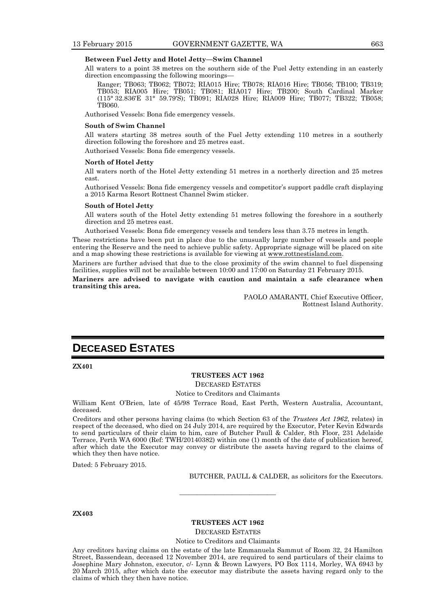#### **Between Fuel Jetty and Hotel Jetty—Swim Channel**

All waters to a point 38 metres on the southern side of the Fuel Jetty extending in an easterly direction encompassing the following moorings—

Ranger; TB063; TB062; TB072; RIA015 Hire; TB078; RIA016 Hire; TB056; TB100; TB319; TB053; RIA005 Hire; TB051; TB081; RIA017 Hire; TB200; South Cardinal Marker (115° 32.836′E 31° 59.79′S); TB091; RIA028 Hire; RIA009 Hire; TB077; TB322; TB058; TB060.

Authorised Vessels: Bona fide emergency vessels.

#### **South of Swim Channel**

All waters starting 38 metres south of the Fuel Jetty extending 110 metres in a southerly direction following the foreshore and 25 metres east.

Authorised Vessels: Bona fide emergency vessels.

#### **North of Hotel Jetty**

All waters north of the Hotel Jetty extending 51 metres in a northerly direction and 25 metres east.

Authorised Vessels: Bona fide emergency vessels and competitor's support paddle craft displaying a 2015 Karma Resort Rottnest Channel Swim sticker.

#### **South of Hotel Jetty**

All waters south of the Hotel Jetty extending 51 metres following the foreshore in a southerly direction and 25 metres east.

Authorised Vessels: Bona fide emergency vessels and tenders less than 3.75 metres in length.

These restrictions have been put in place due to the unusually large number of vessels and people entering the Reserve and the need to achieve public safety. Appropriate signage will be placed on site and a map showing these restrictions is available for viewing at www.rottnestisland.com.

Mariners are further advised that due to the close proximity of the swim channel to fuel dispensing facilities, supplies will not be available between 10:00 and 17:00 on Saturday 21 February 2015.

**Mariners are advised to navigate with caution and maintain a safe clearance when transiting this area.**

> PAOLO AMARANTI, Chief Executive Officer, Rottnest Island Authority.

# **DECEASED ESTATES**

#### **ZX401**

#### **TRUSTEES ACT 1962**

DECEASED ESTATES

Notice to Creditors and Claimants

William Kent O'Brien, late of 45/98 Terrace Road, East Perth, Western Australia, Accountant, deceased.

Creditors and other persons having claims (to which Section 63 of the *Trustees Act 1962*, relates) in respect of the deceased, who died on 24 July 2014, are required by the Executor, Peter Kevin Edwards to send particulars of their claim to him, care of Butcher Paull & Calder, 8th Floor, 231 Adelaide Terrace, Perth WA 6000 (Ref: TWH/20140382) within one (1) month of the date of publication hereof, after which date the Executor may convey or distribute the assets having regard to the claims of which they then have notice.

Dated: 5 February 2015.

BUTCHER, PAULL & CALDER, as solicitors for the Executors.

#### **ZX403**

#### **TRUSTEES ACT 1962**

———————————

DECEASED ESTATES

Notice to Creditors and Claimants

Any creditors having claims on the estate of the late Emmanuela Sammut of Room 32, 24 Hamilton Street, Bassendean, deceased 12 November 2014, are required to send particulars of their claims to Josephine Mary Johnston, executor, c/- Lynn & Brown Lawyers, PO Box 1114, Morley, WA 6943 by 20 March 2015, after which date the executor may distribute the assets having regard only to the claims of which they then have notice.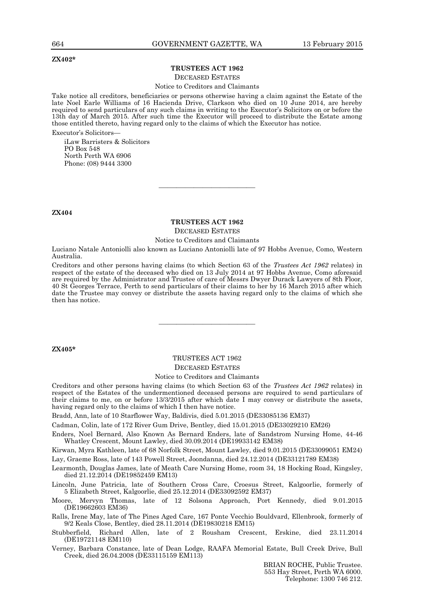#### **ZX402\***

### **TRUSTEES ACT 1962**

#### DECEASED ESTATES

#### Notice to Creditors and Claimants

Take notice all creditors, beneficiaries or persons otherwise having a claim against the Estate of the late Noel Earle Williams of 16 Hacienda Drive, Clarkson who died on 10 June 2014, are hereby required to send particulars of any such claims in writing to the Executor's Solicitors on or before the 13th day of March 2015. After such time the Executor will proceed to distribute the Estate among those entitled thereto, having regard only to the claims of which the Executor has notice. Executor's Solicitors—

iLaw Barristers & Solicitors PO Box 548 North Perth WA 6906 Phone: (08) 9444 3300

#### **ZX404**

#### **TRUSTEES ACT 1962** DECEASED ESTATES

———————————

Notice to Creditors and Claimants

Luciano Natale Antoniolli also known as Luciano Antoniolli late of 97 Hobbs Avenue, Como, Western Australia.

Creditors and other persons having claims (to which Section 63 of the *Trustees Act 1962* relates) in respect of the estate of the deceased who died on 13 July 2014 at 97 Hobbs Avenue, Como aforesaid are required by the Administrator and Trustee of care of Messrs Dwyer Durack Lawyers of 8th Floor, 40 St Georges Terrace, Perth to send particulars of their claims to her by 16 March 2015 after which date the Trustee may convey or distribute the assets having regard only to the claims of which she then has notice.

#### **ZX405\***

# TRUSTEES ACT 1962 DECEASED ESTATES

———————————

#### Notice to Creditors and Claimants

Creditors and other persons having claims (to which Section 63 of the *Trustees Act 1962* relates) in respect of the Estates of the undermentioned deceased persons are required to send particulars of their claims to me, on or before 13/3/2015 after which date I may convey or distribute the assets, having regard only to the claims of which I then have notice.

Bradd, Ann, late of 10 Starflower Way, Baldivis, died 5.01.2015 (DE33085136 EM37)

Cadman, Colin, late of 172 River Gum Drive, Bentley, died 15.01.2015 (DE33029210 EM26)

Enders, Noel Bernard, Also Known As Bernard Enders, late of Sandstrom Nursing Home, 44-46 Whatley Crescent, Mount Lawley, died 30.09.2014 (DE19933142 EM38)

Kirwan, Myra Kathleen, late of 68 Norfolk Street, Mount Lawley, died 9.01.2015 (DE33099051 EM24) Lay, Graeme Ross, late of 143 Powell Street, Joondanna, died 24.12.2014 (DE33121789 EM38)

Learmonth, Douglas James, late of Meath Care Nursing Home, room 34, 18 Hocking Road, Kingsley, died 21.12.2014 (DE19852459 EM13)

Lincoln, June Patricia, late of Southern Cross Care, Croesus Street, Kalgoorlie, formerly of 5 Elizabeth Street, Kalgoorlie, died 25.12.2014 (DE33092592 EM37)

Moore, Mervyn Thomas, late of 12 Solsona Approach, Port Kennedy, died 9.01.2015 (DE19662603 EM36)

Ralls, Irene May, late of The Pines Aged Care, 167 Ponte Vecchio Bouldvard, Ellenbrook, formerly of 9/2 Keals Close, Bentley, died 28.11.2014 (DE19830218 EM15)

Stubberfield, Richard Allen, late of 2 Rousham Crescent, Erskine, died 23.11.2014 (DE19721148 EM110)

Verney, Barbara Constance, late of Dean Lodge, RAAFA Memorial Estate, Bull Creek Drive, Bull Creek, died 26.04.2008 (DE33115159 EM113)

> BRIAN ROCHE, Public Trustee. 553 Hay Street, Perth WA 6000. Telephone: 1300 746 212.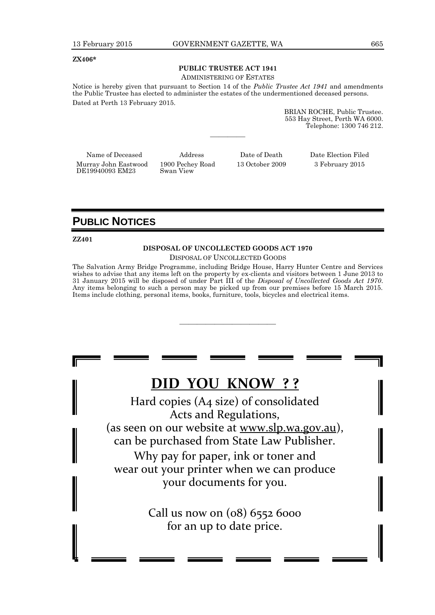#### **ZX406\***

# **PUBLIC TRUSTEE ACT 1941**

ADMINISTERING OF ESTATES

Notice is hereby given that pursuant to Section 14 of the *Public Trustee Act 1941* and amendments the Public Trustee has elected to administer the estates of the undermentioned deceased persons. Dated at Perth 13 February 2015.

————

BRIAN ROCHE, Public Trustee. 553 Hay Street, Perth WA 6000. Telephone: 1300 746 212.

Murray John Eastwood DE19940093 EM23

1900 Pechey Road Swan View

13 October 2009 3 February 2015

Name of Deceased Address Date of Death Date Election Filed

# **PUBLIC NOTICES**

#### **ZZ401**

#### **DISPOSAL OF UNCOLLECTED GOODS ACT 1970**

DISPOSAL OF UNCOLLECTED GOODS

The Salvation Army Bridge Programme, including Bridge House, Harry Hunter Centre and Services wishes to advise that any items left on the property by ex-clients and visitors between 1 June 2013 to 31 January 2015 will be disposed of under Part III of the *Disposal of Uncollected Goods Act 1970*. Any items belonging to such a person may be picked up from our premises before 15 March 2015. Items include clothing, personal items, books, furniture, tools, bicycles and electrical items.

———————————

# **DID YOU KNOW ? ?**

Hard copies (A4 size) of consolidated Acts and Regulations, (as seen on our website at www.slp.wa.gov.au), can be purchased from State Law Publisher. Why pay for paper, ink or toner and

wear out your printer when we can produce your documents for you.

> Call us now on (08) 6552 6000 for an up to date price.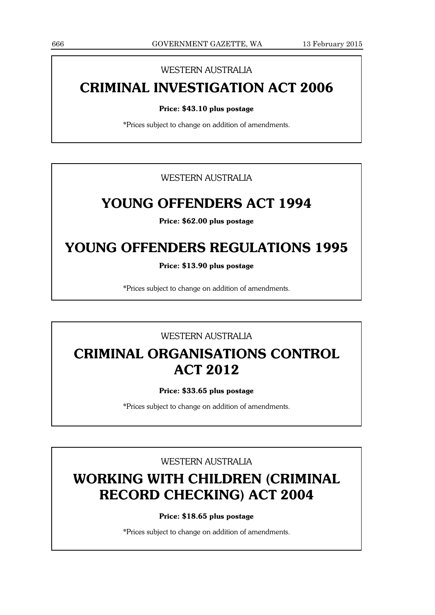## WESTERN AUSTRALIA

# **CRIMINAL INVESTIGATION ACT 2006**

#### **Price: \$43.10 plus postage**

\*Prices subject to change on addition of amendments.

WESTERN AUSTRALIA

# **YOUNG OFFENDERS ACT 1994**

**Price: \$62.00 plus postage**

# **YOUNG OFFENDERS REGULATIONS 1995**

**Price: \$13.90 plus postage**

\*Prices subject to change on addition of amendments.

## WESTERN AUSTRALIA

# **CRIMINAL ORGANISATIONS CONTROL ACT 2012**

### **Price: \$33.65 plus postage**

\*Prices subject to change on addition of amendments.

## WESTERN AUSTRALIA

# **WORKING WITH CHILDREN (CRIMINAL RECORD CHECKING) ACT 2004**

**Price: \$18.65 plus postage**

\*Prices subject to change on addition of amendments.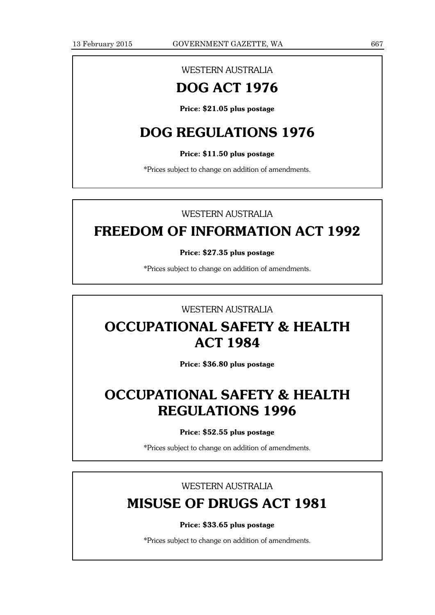# WESTERN AUSTRALIA

# **DOG ACT 1976**

**Price: \$21.05 plus postage**

# **DOG REGULATIONS 1976**

### **Price: \$11.50 plus postage**

\*Prices subject to change on addition of amendments.

# WESTERN AUSTRALIA

# **FREEDOM OF INFORMATION ACT 1992**

### **Price: \$27.35 plus postage**

\*Prices subject to change on addition of amendments.

## WESTERN AUSTRALIA

# **OCCUPATIONAL SAFETY & HEALTH ACT 1984**

**Price: \$36.80 plus postage**

# **OCCUPATIONAL SAFETY & HEALTH REGULATIONS 1996**

#### **Price: \$52.55 plus postage**

\*Prices subject to change on addition of amendments.

## WESTERN AUSTRALIA

# **MISUSE OF DRUGS ACT 1981**

#### **Price: \$33.65 plus postage**

\*Prices subject to change on addition of amendments.